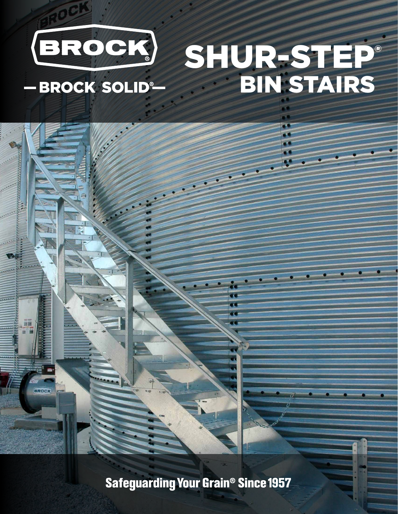

- BROCK SOLID®

**BROCK** 

## SHUR-STEP® **BIN STAIRS**

**Safeguarding Your Grain<sup>®</sup> Since 1957**